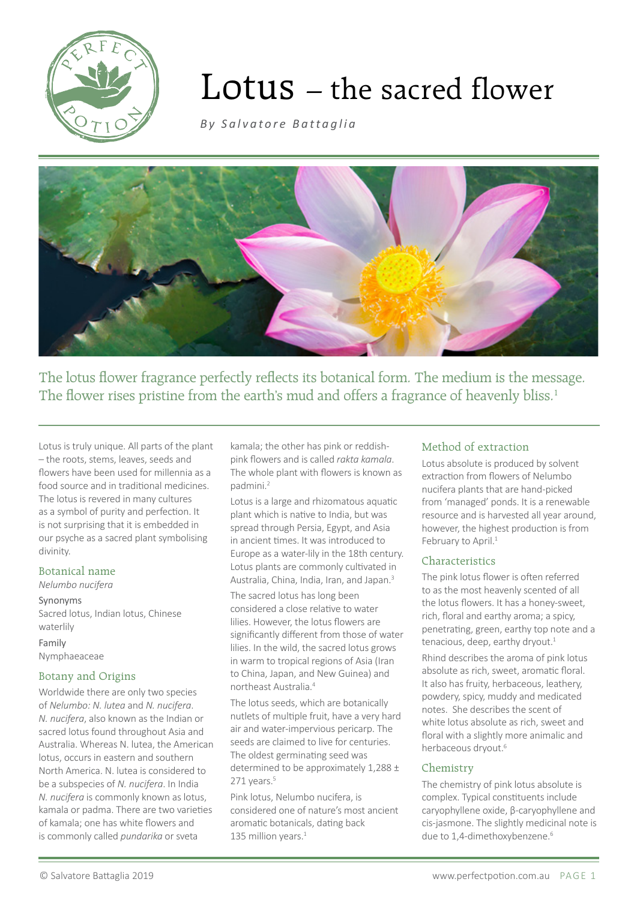

# Lotus – the sacred flower

*[By Salvatore Battaglia](http://http://www.salvatorebattaglia.com.au/category/essential-oil-monographs/)*



The lotus flower fragrance perfectly reflects its botanical form. The medium is the message. The flower rises pristine from the earth's mud and offers a fragrance of heavenly bliss.<sup>1</sup>

Lotus is truly unique. All parts of the plant – the roots, stems, leaves, seeds and flowers have been used for millennia as a food source and in traditional medicines. The lotus is revered in many cultures as a symbol of purity and perfection. It is not surprising that it is embedded in our psyche as a sacred plant symbolising divinity.

## Botanical name

#### *Nelumbo nucifera*

Synonyms Sacred lotus, Indian lotus, Chinese waterlily

Family Nymphaeaceae

# Botany and Origins

Worldwide there are only two species of *Nelumbo: N. lutea* and *N. nucifera*. *N. nucifera*, also known as the Indian or sacred lotus found throughout Asia and Australia. Whereas N. lutea, the American lotus, occurs in eastern and southern North America. N. lutea is considered to be a subspecies of *N. nucifera*. In India *N. nucifera* is commonly known as lotus, kamala or padma. There are two varieties of kamala; one has white flowers and is commonly called *pundarika* or sveta

kamala; the other has pink or reddishpink flowers and is called *rakta kamala*. The whole plant with flowers is known as padmini.2

Lotus is a large and rhizomatous aquatic plant which is native to India, but was spread through Persia, Egypt, and Asia in ancient times. It was introduced to Europe as a water-lily in the 18th century. Lotus plants are commonly cultivated in Australia, China, India, Iran, and Japan.<sup>3</sup>

The sacred lotus has long been considered a close relative to water lilies. However, the lotus flowers are significantly different from those of water lilies. In the wild, the sacred lotus grows in warm to tropical regions of Asia (Iran to China, Japan, and New Guinea) and northeast Australia.<sup>4</sup>

The lotus seeds, which are botanically nutlets of multiple fruit, have a very hard air and water-impervious pericarp. The seeds are claimed to live for centuries. The oldest germinating seed was determined to be approximately 1,288 ±  $271$  years. $5$ 

Pink lotus, Nelumbo nucifera, is considered one of nature's most ancient aromatic botanicals, dating back 135 million years.<sup>1</sup>

## Method of extraction

Lotus absolute is produced by solvent extraction from flowers of Nelumbo nucifera plants that are hand-picked from 'managed' ponds. It is a renewable resource and is harvested all year around, however, the highest production is from February to April.<sup>1</sup>

## Characteristics

The pink lotus flower is often referred to as the most heavenly scented of all the lotus flowers. It has a honey-sweet, rich, floral and earthy aroma; a spicy, penetrating, green, earthy top note and a tenacious, deep, earthy dryout. $1$ 

Rhind describes the aroma of pink lotus absolute as rich, sweet, aromatic floral. It also has fruity, herbaceous, leathery, powdery, spicy, muddy and medicated notes. She describes the scent of white lotus absolute as rich, sweet and floral with a slightly more animalic and herbaceous dryout.<sup>6</sup>

## Chemistry

The chemistry of pink lotus absolute is complex. Typical constituents include caryophyllene oxide, β-caryophyllene and cis-jasmone. The slightly medicinal note is due to 1,4-dimethoxybenzene.<sup>6</sup>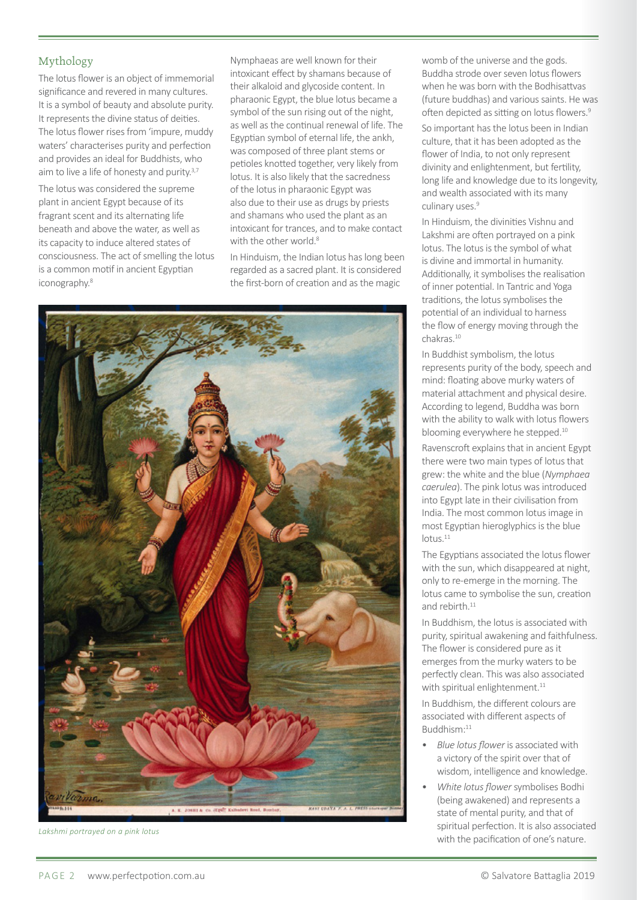# Mythology

The lotus flower is an object of immemorial significance and revered in many cultures. It is a symbol of beauty and absolute purity. It represents the divine status of deities. The lotus flower rises from 'impure, muddy waters' characterises purity and perfection and provides an ideal for Buddhists, who aim to live a life of honesty and purity.<sup>3,7</sup>

The lotus was considered the supreme plant in ancient Egypt because of its fragrant scent and its alternating life beneath and above the water, as well as its capacity to induce altered states of consciousness. The act of smelling the lotus is a common motif in ancient Egyptian iconography.<sup>8</sup>

Nymphaeas are well known for their intoxicant effect by shamans because of their alkaloid and glycoside content. In pharaonic Egypt, the blue lotus became a symbol of the sun rising out of the night, as well asthe continual renewal of life. The Egyptian symbol of eternal life, the ankh, was composed of three plant stems or petioles knotted together, very likely from lotus. It is also likely that the sacredness of the lotus in pharaonic Egypt was also due to their use as drugs by priests and shamans who used the plant as an intoxicant for trances, and to make contact with the other world.<sup>8</sup>

In Hinduism, the Indian lotus has long been regarded as a sacred plant. It is considered the first-born of creation and as the magic



*Lakshmi portrayed on a pink lotus*

womb of the universe and the gods. Buddha strode over seven lotus flowers when he was born with the Bodhisattvas (future buddhas) and varioussaints. He was often depicted as sitting on lotus flowers.<sup>9</sup>

So important has the lotus been in Indian culture, that it has been adopted asthe flower of India, to not only represent divinity and enlightenment, but fertility, long life and knowledge due to its longevity, and wealth associated with its many culinary uses.<sup>9</sup>

In Hinduism, the divinities Vishnu and Lakshmi are often portrayed on a pink lotus. The lotus is the symbol of what is divine and immortal in humanity. Additionally, it symbolises the realisation of inner potential. In Tantric and Yoga traditions, the lotus symbolises the potential of an individual to harness the flow of energy moving through the chakras.10

In Buddhist symbolism, the lotus represents purity of the body, speech and mind: floating above murky waters of material attachment and physical desire. According to legend, Buddha was born with the ability to walk with lotus flowers blooming everywhere he stepped.<sup>10</sup>

Ravenscroft explains that in ancient Egypt there were two main types of lotus that grew: the white and the blue (*Nymphaea caerulea*). The pink lotus was introduced into Egypt late in their civilisation from India. The most common lotusimage in most Egyptian hieroglyphics is the blue lotus.<sup>11</sup>

The Egyptians associated the lotus flower with the sun, which disappeared at night, only to re-emerge in the morning. The lotus came to symbolise the sun, creation and rebirth  $11$ 

In Buddhism, the lotus is associated with purity, spiritual awakening and faithfulness. The flower is considered pure as it emerges from the murky waters to be perfectly clean. This was also associated with spiritual enlightenment.<sup>11</sup>

In Buddhism, the different colours are associated with different aspects of Buddhism:11

- *Blue lotus flower* is associated with a victory of the spirit over that of wisdom, intelligence and knowledge.
- *White lotus flower* symbolises Bodhi (being awakened) and represents a state of mental purity, and that of spiritual perfection. It is also associated with the pacification of one's nature.